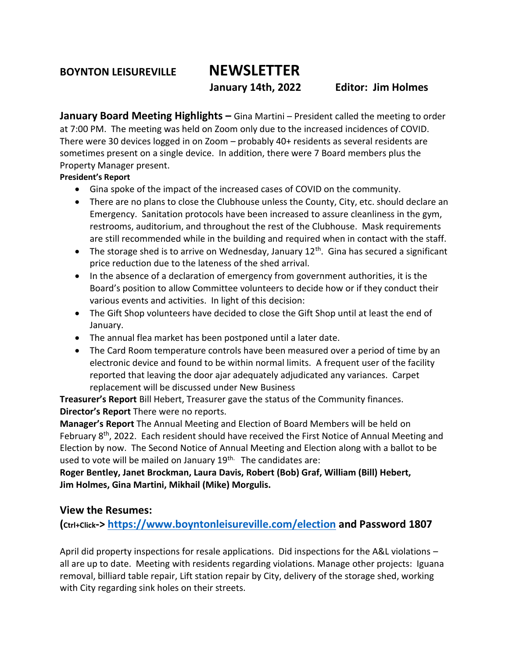**BOYNTON LEISUREVILLE NEWSLETTER**

 **January 14th, 2022 Editor: Jim Holmes**

**January Board Meeting Highlights –** Gina Martini – President called the meeting to order at 7:00 PM. The meeting was held on Zoom only due to the increased incidences of COVID. There were 30 devices logged in on Zoom – probably 40+ residents as several residents are sometimes present on a single device. In addition, there were 7 Board members plus the Property Manager present.

### **President's Report**

- Gina spoke of the impact of the increased cases of COVID on the community.
- There are no plans to close the Clubhouse unless the County, City, etc. should declare an Emergency. Sanitation protocols have been increased to assure cleanliness in the gym, restrooms, auditorium, and throughout the rest of the Clubhouse. Mask requirements are still recommended while in the building and required when in contact with the staff.
- The storage shed is to arrive on Wednesday, January  $12<sup>th</sup>$ . Gina has secured a significant price reduction due to the lateness of the shed arrival.
- In the absence of a declaration of emergency from government authorities, it is the Board's position to allow Committee volunteers to decide how or if they conduct their various events and activities. In light of this decision:
- The Gift Shop volunteers have decided to close the Gift Shop until at least the end of January.
- The annual flea market has been postponed until a later date.
- The Card Room temperature controls have been measured over a period of time by an electronic device and found to be within normal limits. A frequent user of the facility reported that leaving the door ajar adequately adjudicated any variances. Carpet replacement will be discussed under New Business

**Treasurer's Report** Bill Hebert, Treasurer gave the status of the Community finances. **Director's Report** There were no reports.

**Manager's Report** The Annual Meeting and Election of Board Members will be held on February 8<sup>th</sup>, 2022. Each resident should have received the First Notice of Annual Meeting and Election by now. The Second Notice of Annual Meeting and Election along with a ballot to be used to vote will be mailed on January 19<sup>th.</sup> The candidates are:

**Roger Bentley, Janet Brockman, Laura Davis, Robert (Bob) Graf, William (Bill) Hebert, Jim Holmes, Gina Martini, Mikhail (Mike) Morgulis.**

## **View the Resumes:**

**(Ctrl+Click-> <https://www.boyntonleisureville.com/election> and Password 1807**

April did property inspections for resale applications. Did inspections for the A&L violations – all are up to date. Meeting with residents regarding violations. Manage other projects: Iguana removal, billiard table repair, Lift station repair by City, delivery of the storage shed, working with City regarding sink holes on their streets.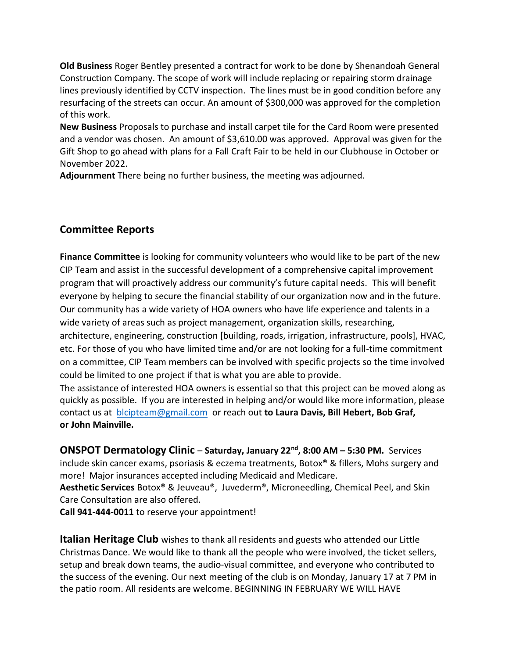**Old Business** Roger Bentley presented a contract for work to be done by Shenandoah General Construction Company. The scope of work will include replacing or repairing storm drainage lines previously identified by CCTV inspection. The lines must be in good condition before any resurfacing of the streets can occur. An amount of \$300,000 was approved for the completion of this work.

**New Business** Proposals to purchase and install carpet tile for the Card Room were presented and a vendor was chosen. An amount of \$3,610.00 was approved. Approval was given for the Gift Shop to go ahead with plans for a Fall Craft Fair to be held in our Clubhouse in October or November 2022.

**Adjournment** There being no further business, the meeting was adjourned.

# **Committee Reports**

**Finance Committee** is looking for community volunteers who would like to be part of the new CIP Team and assist in the successful development of a comprehensive capital improvement program that will proactively address our community's future capital needs. This will benefit everyone by helping to secure the financial stability of our organization now and in the future. Our community has a wide variety of HOA owners who have life experience and talents in a wide variety of areas such as project management, organization skills, researching, architecture, engineering, construction [building, roads, irrigation, infrastructure, pools], HVAC, etc. For those of you who have limited time and/or are not looking for a full-time commitment on a committee, CIP Team members can be involved with specific projects so the time involved could be limited to one project if that is what you are able to provide.

The assistance of interested HOA owners is essential so that this project can be moved along as quickly as possible. If you are interested in helping and/or would like more information, please contact us at [blcipteam@gmail.com](mailto:blcipteam@gmail.com) or reach out **to Laura Davis, Bill Hebert, Bob Graf, or John Mainville.**

**ONSPOT Dermatology Clinic** – **Saturday, January 22nd, 8:00 AM – 5:30 PM.** Services

include skin cancer exams, psoriasis & eczema treatments, Botox® & fillers, Mohs surgery and more! Major insurances accepted including Medicaid and Medicare.

**Aesthetic Services** Botox® & Jeuveau®, Juvederm®, Microneedling, Chemical Peel, and Skin Care Consultation are also offered.

**Call 941-444-0011** to reserve your appointment!

**Italian Heritage Club** wishes to thank all residents and guests who attended our Little Christmas Dance. We would like to thank all the people who were involved, the ticket sellers, setup and break down teams, the audio-visual committee, and everyone who contributed to the success of the evening. Our next meeting of the club is on Monday, January 17 at 7 PM in the patio room. All residents are welcome. BEGINNING IN FEBRUARY WE WILL HAVE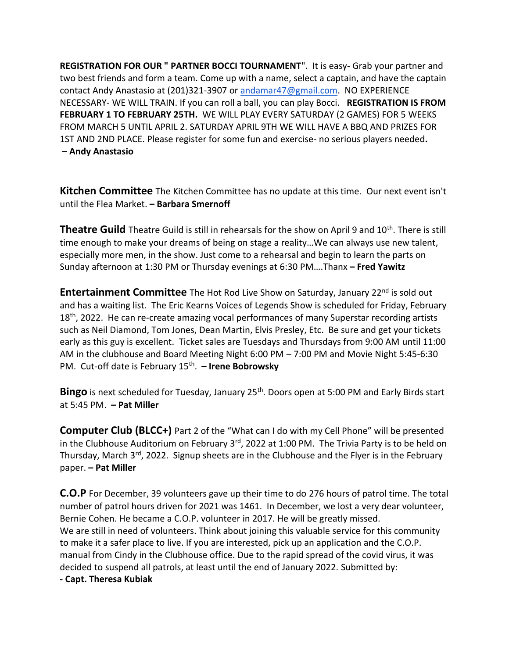**REGISTRATION FOR OUR " PARTNER BOCCI TOURNAMENT**". It is easy- Grab your partner and two best friends and form a team. Come up with a name, select a captain, and have the captain contact Andy Anastasio at (201)321-3907 or [andamar47@gmail.com.](mailto:andamar47@gmail.com) NO EXPERIENCE NECESSARY- WE WILL TRAIN. If you can roll a ball, you can play Bocci. **REGISTRATION IS FROM FEBRUARY 1 TO FEBRUARY 25TH.** WE WILL PLAY EVERY SATURDAY (2 GAMES) FOR 5 WEEKS FROM MARCH 5 UNTIL APRIL 2. SATURDAY APRIL 9TH WE WILL HAVE A BBQ AND PRIZES FOR 1ST AND 2ND PLACE. Please register for some fun and exercise- no serious players needed**. – Andy Anastasio**

**Kitchen Committee** The Kitchen Committee has no update at this time. Our next event isn't until the Flea Market. **– Barbara Smernoff**

**Theatre Guild** Theatre Guild is still in rehearsals for the show on April 9 and 10<sup>th</sup>. There is still time enough to make your dreams of being on stage a reality…We can always use new talent, especially more men, in the show. Just come to a rehearsal and begin to learn the parts on Sunday afternoon at 1:30 PM or Thursday evenings at 6:30 PM….Thanx **– Fred Yawitz**

**Entertainment Committee** The Hot Rod Live Show on Saturday, January 22<sup>nd</sup> is sold out and has a waiting list. The Eric Kearns Voices of Legends Show is scheduled for Friday, February  $18<sup>th</sup>$ , 2022. He can re-create amazing vocal performances of many Superstar recording artists such as Neil Diamond, Tom Jones, Dean Martin, Elvis Presley, Etc. Be sure and get your tickets early as this guy is excellent. Ticket sales are Tuesdays and Thursdays from 9:00 AM until 11:00 AM in the clubhouse and Board Meeting Night 6:00 PM – 7:00 PM and Movie Night 5:45-6:30 PM. Cut-off date is February 15th . **– Irene Bobrowsky**

Bingo is next scheduled for Tuesday, January 25<sup>th</sup>. Doors open at 5:00 PM and Early Birds start at 5:45 PM. **– Pat Miller**

**Computer Club (BLCC+)** Part 2 of the "What can I do with my Cell Phone" will be presented in the Clubhouse Auditorium on February 3<sup>rd</sup>, 2022 at 1:00 PM. The Trivia Party is to be held on Thursday, March 3<sup>rd</sup>, 2022. Signup sheets are in the Clubhouse and the Flyer is in the February paper. **– Pat Miller**

**C.O.P** For December, 39 volunteers gave up their time to do 276 hours of patrol time. The total number of patrol hours driven for 2021 was 1461. In December, we lost a very dear volunteer, Bernie Cohen. He became a C.O.P. volunteer in 2017. He will be greatly missed. We are still in need of volunteers. Think about joining this valuable service for this community to make it a safer place to live. If you are interested, pick up an application and the C.O.P. manual from Cindy in the Clubhouse office. Due to the rapid spread of the covid virus, it was decided to suspend all patrols, at least until the end of January 2022. Submitted by:

**- Capt. Theresa Kubiak**